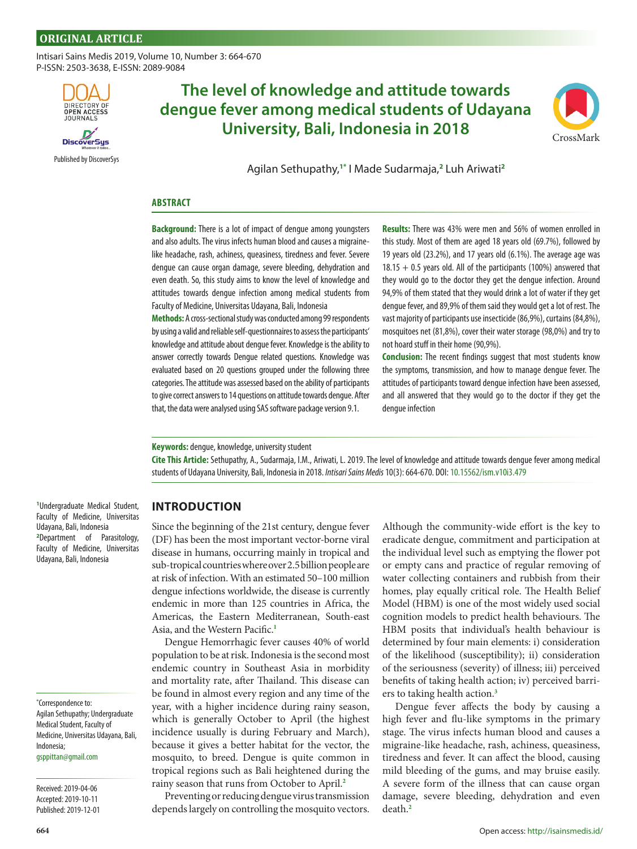[Intisari Sains Medis](http://isainsmedis.id/) 2019, Volume 10, Number 3: 664-670 P-ISSN: 2503-3638, E-ISSN: 2089-9084



DiscoverSus

[Published by DiscoverSys](http://discoversys.ca/)

# **The level of knowledge and attitude towards dengue fever among medical students of Udayana University, Bali, Indonesia in 2018**



Agilan Sethupathy,**1\*** I Made Sudarmaja,**<sup>2</sup>** Luh Ariwati**<sup>2</sup>**

#### **ABSTRACT**

**Background:** There is a lot of impact of dengue among youngsters and also adults. The virus infects human blood and causes a migrainelike headache, rash, achiness, queasiness, tiredness and fever. Severe dengue can cause organ damage, severe bleeding, dehydration and even death. So, this study aims to know the level of knowledge and attitudes towards dengue infection among medical students from Faculty of Medicine, Universitas Udayana, Bali, Indonesia

**Methods:** A cross-sectional study was conducted among 99 respondents by using a valid and reliable self-questionnaires to assess the participants' knowledge and attitude about dengue fever. Knowledge is the ability to answer correctly towards Dengue related questions. Knowledge was evaluated based on 20 questions grouped under the following three categories. The attitude was assessed based on the ability of participants to give correct answers to 14 questions on attitude towards dengue. After that, the data were analysed using SAS software package version 9.1.

**Results:** There was 43% were men and 56% of women enrolled in this study. Most of them are aged 18 years old (69.7%), followed by 19 years old (23.2%), and 17 years old (6.1%). The average age was  $18.15 + 0.5$  years old. All of the participants (100%) answered that they would go to the doctor they get the dengue infection. Around 94,9% of them stated that they would drink a lot of water if they get dengue fever, and 89,9% of them said they would get a lot of rest. The vast majority of participants use insecticide (86,9%), curtains (84,8%), mosquitoes net (81,8%), cover their water storage (98,0%) and try to not hoard stuff in their home (90,9%).

**Conclusion:** The recent findings suggest that most students know the symptoms, transmission, and how to manage dengue fever. The attitudes of participants toward dengue infection have been assessed, and all answered that they would go to the doctor if they get the dengue infection

**Keywords:** dengue, knowledge, university student

**Cite This Article:** Sethupathy, A., Sudarmaja, I.M., Ariwati, L. 2019. The level of knowledge and attitude towards dengue fever among medical students of Udayana University, Bali, Indonesia in 2018. *Intisari Sains Medis* 10(3): 664-670. [DOI: 10.15562/ism.v10i3.479](https://dx.doi.org/10.15562/ism.v10i3.479)

**1** Undergraduate Medical Student,

# **INTRODUCTION**

Since the beginning of the 21st century, dengue fever (DF) has been the most important vector-borne viral disease in humans, occurring mainly in tropical and sub-tropical countries where over 2.5 billion people are at risk of infection. With an estimated 50–100 million dengue infections worldwide, the disease is currently endemic in more than 125 countries in Africa, the Americas, the Eastern Mediterranean, South-east Asia, and the Western Pacific.**[1](#page-5-0)**

Dengue Hemorrhagic fever causes 40% of world population to be at risk. Indonesia is the second most endemic country in Southeast Asia in morbidity and mortality rate, after Thailand. This disease can be found in almost every region and any time of the year, with a higher incidence during rainy season, which is generally October to April (the highest incidence usually is during February and March), because it gives a better habitat for the vector, the mosquito, to breed. Dengue is quite common in tropical regions such as Bali heightened during the rainy season that runs from October to April.**[2](#page-5-0)**

Preventing or reducing dengue virus transmission depends largely on controlling the mosquito vectors.

Although the community-wide effort is the key to eradicate dengue, commitment and participation at the individual level such as emptying the flower pot or empty cans and practice of regular removing of water collecting containers and rubbish from their homes, play equally critical role. The Health Belief Model (HBM) is one of the most widely used social cognition models to predict health behaviours. The HBM posits that individual's health behaviour is determined by four main elements: i) consideration of the likelihood (susceptibility); ii) consideration of the seriousness (severity) of illness; iii) perceived benefits of taking health action; iv) perceived barriers to taking health action.**[3](#page-5-0)**

Dengue fever affects the body by causing a high fever and flu-like symptoms in the primary stage. The virus infects human blood and causes a migraine-like headache, rash, achiness, queasiness, tiredness and fever. It can affect the blood, causing mild bleeding of the gums, and may bruise easily. A severe form of the illness that can cause organ damage, severe bleeding, dehydration and even death.**[2](#page-5-0)**

Faculty of Medicine, Universitas Udayana, Bali, Indonesia **2** Department of Parasitology, Faculty of Medicine, Universitas Udayana, Bali, Indonesia

**\*** Correspondence to: Agilan Sethupathy; Undergraduate Medical Student, Faculty of Medicine, Universitas Udayana, Bali, Indonesia;

[gsppittan@gmail.com](mailto:gsppittan@gmail.com)

Received: 2019-04-06 Accepted: 2019-10-11 Published: 2019-12-01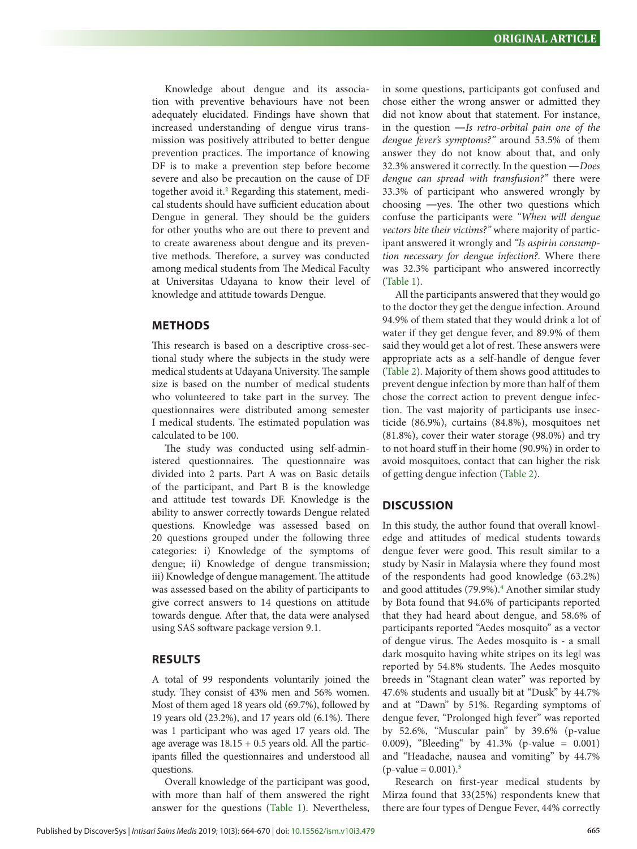Knowledge about dengue and its association with preventive behaviours have not been adequately elucidated. Findings have shown that increased understanding of dengue virus transmission was positively attributed to better dengue prevention practices. The importance of knowing DF is to make a prevention step before become severe and also be precaution on the cause of DF together avoid it.<sup>[2](#page-5-0)</sup> Regarding this statement, medical students should have sufficient education about Dengue in general. They should be the guiders for other youths who are out there to prevent and to create awareness about dengue and its preventive methods. Therefore, a survey was conducted among medical students from The Medical Faculty at Universitas Udayana to know their level of knowledge and attitude towards Dengue.

## **METHODS**

This research is based on a descriptive cross-sectional study where the subjects in the study were medical students at Udayana University. The sample size is based on the number of medical students who volunteered to take part in the survey. The questionnaires were distributed among semester I medical students. The estimated population was calculated to be 100.

The study was conducted using self-administered questionnaires. The questionnaire was divided into 2 parts. Part A was on Basic details of the participant, and Part B is the knowledge and attitude test towards DF. Knowledge is the ability to answer correctly towards Dengue related questions. Knowledge was assessed based on 20 questions grouped under the following three categories: i) Knowledge of the symptoms of dengue; ii) Knowledge of dengue transmission; iii) Knowledge of dengue management. The attitude was assessed based on the ability of participants to give correct answers to 14 questions on attitude towards dengue. After that, the data were analysed using SAS software package version 9.1.

## **RESULTS**

A total of 99 respondents voluntarily joined the study. They consist of 43% men and 56% women. Most of them aged 18 years old (69.7%), followed by 19 years old (23.2%), and 17 years old (6.1%). There was 1 participant who was aged 17 years old. The age average was  $18.15 + 0.5$  years old. All the participants filled the questionnaires and understood all questions.

Overall knowledge of the participant was good, with more than half of them answered the right answer for the questions [\(Table 1](#page-2-0)). Nevertheless,

in some questions, participants got confused and chose either the wrong answer or admitted they did not know about that statement. For instance, in the question ―*Is retro-orbital pain one of the dengue fever's symptoms?"* around 53.5% of them answer they do not know about that, and only 32.3% answered it correctly. In the question ―*Does dengue can spread with transfusion?"* there were 33.3% of participant who answered wrongly by choosing ―yes. The other two questions which confuse the participants were *"When will dengue vectors bite their victims?"* where majority of participant answered it wrongly and *"Is aspirin consumption necessary for dengue infection?*. Where there was 32.3% participant who answered incorrectly [\(Table 1](#page-2-0)).

All the participants answered that they would go to the doctor they get the dengue infection. Around 94.9% of them stated that they would drink a lot of water if they get dengue fever, and 89.9% of them said they would get a lot of rest. These answers were appropriate acts as a self-handle of dengue fever [\(Table 2](#page-3-0)). Majority of them shows good attitudes to prevent dengue infection by more than half of them chose the correct action to prevent dengue infection. The vast majority of participants use insecticide (86.9%), curtains (84.8%), mosquitoes net (81.8%), cover their water storage (98.0%) and try to not hoard stuff in their home (90.9%) in order to avoid mosquitoes, contact that can higher the risk of getting dengue infection ([Table 2](#page-3-0)).

#### **DISCUSSION**

In this study, the author found that overall knowledge and attitudes of medical students towards dengue fever were good. This result similar to a study by Nasir in Malaysia where they found most of the respondents had good knowledge (63.2%) and good attitudes (79.9%).**[4](#page-6-0)** Another similar study by Bota found that 94.6% of participants reported that they had heard about dengue, and 58.6% of participants reported "Aedes mosquito" as a vector of dengue virus. The Aedes mosquito is - a small dark mosquito having white stripes on its legl was reported by 54.8% students. The Aedes mosquito breeds in "Stagnant clean water" was reported by 47.6% students and usually bit at "Dusk" by 44.7% and at "Dawn" by 51%. Regarding symptoms of dengue fever, "Prolonged high fever" was reported by 52.6%, "Muscular pain" by 39.6% (p-value 0.009), "Bleeding'' by 41.3% (p-value = 0.001) and "Headache, nausea and vomiting" by 44.7% (p-value = 0.001).**[5](#page-6-0)**

Research on first-year medical students by Mirza found that 33(25%) respondents knew that there are four types of Dengue Fever, 44% correctly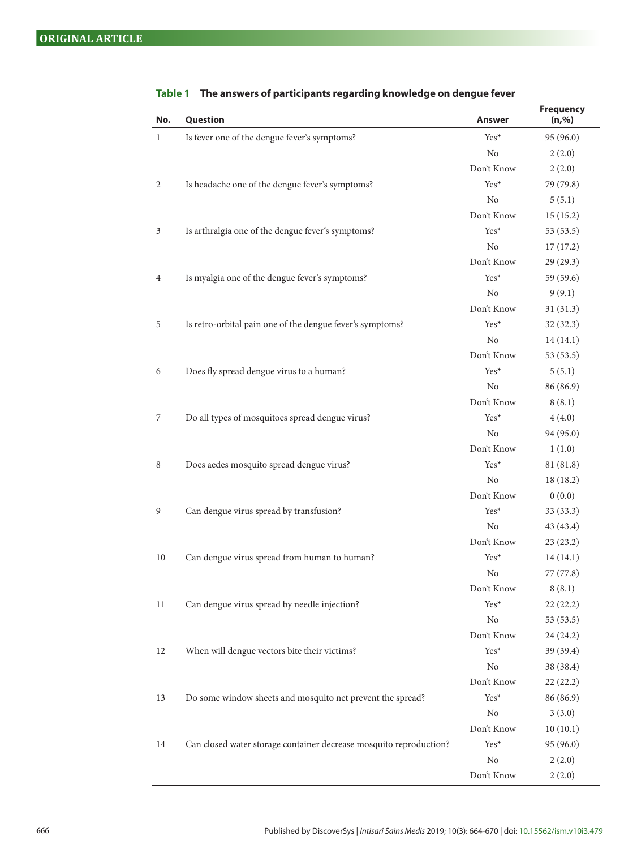| No.          | Question                                                           | <b>Answer</b>  | <b>Frequency</b><br>(n, %) |
|--------------|--------------------------------------------------------------------|----------------|----------------------------|
| $\mathbf{1}$ | Is fever one of the dengue fever's symptoms?                       | Yes*           | 95 (96.0)                  |
|              |                                                                    | N <sub>o</sub> | 2(2.0)                     |
|              |                                                                    | Don't Know     | 2(2.0)                     |
| 2            | Is headache one of the dengue fever's symptoms?                    | Yes*           | 79 (79.8)                  |
|              |                                                                    | No             | 5(5.1)                     |
|              |                                                                    | Don't Know     | 15(15.2)                   |
| 3            | Is arthralgia one of the dengue fever's symptoms?                  | Yes*           | 53 (53.5)                  |
|              |                                                                    | N <sub>o</sub> | 17(17.2)                   |
|              |                                                                    | Don't Know     | 29 (29.3)                  |
| 4            | Is myalgia one of the dengue fever's symptoms?                     | Yes*           | 59 (59.6)                  |
|              |                                                                    | N <sub>0</sub> | 9(9.1)                     |
|              |                                                                    | Don't Know     | 31(31.3)                   |
| 5            | Is retro-orbital pain one of the dengue fever's symptoms?          | $Yes*$         | 32(32.3)                   |
|              |                                                                    | No             | 14(14.1)                   |
|              |                                                                    | Don't Know     | 53(53.5)                   |
| 6            | Does fly spread dengue virus to a human?                           | Yes*           | 5(5.1)                     |
|              |                                                                    | No             | 86 (86.9)                  |
|              |                                                                    | Don't Know     | 8(8.1)                     |
| 7            | Do all types of mosquitoes spread dengue virus?                    | Yes*           | 4(4.0)                     |
|              |                                                                    | N <sub>o</sub> | 94 (95.0)                  |
|              |                                                                    | Don't Know     | 1(1.0)                     |
| 8            | Does aedes mosquito spread dengue virus?                           | $Yes*$         | 81 (81.8)                  |
|              |                                                                    | N <sub>o</sub> | 18(18.2)                   |
|              |                                                                    | Don't Know     | 0(0.0)                     |
| 9            | Can dengue virus spread by transfusion?                            | Yes*           | 33(33.3)                   |
|              |                                                                    | N <sub>o</sub> | 43 (43.4)                  |
|              |                                                                    | Don't Know     | 23(23.2)                   |
| 10           | Can dengue virus spread from human to human?                       | Yes*           | 14(14.1)                   |
|              |                                                                    | No             | 77 (77.8)                  |
|              |                                                                    | Don't Know     | 8(8.1)                     |
| 11           | Can dengue virus spread by needle injection?                       | Yes*           | 22(22.2)                   |
|              |                                                                    | No             | 53 (53.5)                  |
|              |                                                                    | Don't Know     | 24 (24.2)                  |
| 12           | When will dengue vectors bite their victims?                       | Yes*           | 39(39.4)                   |
|              |                                                                    | No             | 38 (38.4)                  |
|              |                                                                    | Don't Know     | 22(22.2)                   |
| 13           | Do some window sheets and mosquito net prevent the spread?         | Yes*           | 86 (86.9)                  |
|              |                                                                    | No             | 3(3.0)                     |
|              |                                                                    | Don't Know     | 10(10.1)                   |
| 14           | Can closed water storage container decrease mosquito reproduction? | Yes*           | 95 (96.0)                  |
|              |                                                                    | No             | 2(2.0)                     |
|              |                                                                    | Don't Know     | 2(2.0)                     |

<span id="page-2-0"></span>

| Table 1 | The answers of participants regarding knowledge on dengue fever |  |  |  |  |
|---------|-----------------------------------------------------------------|--|--|--|--|
|---------|-----------------------------------------------------------------|--|--|--|--|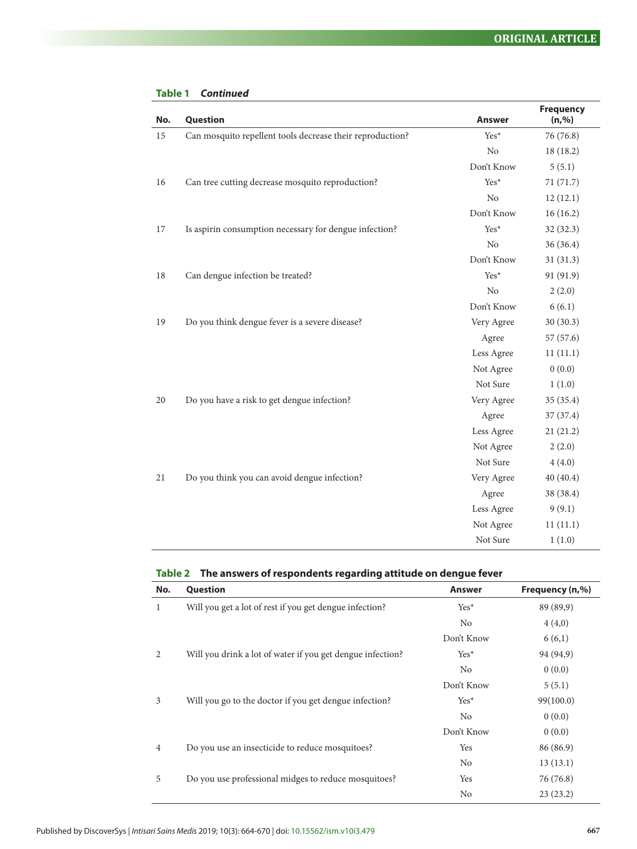| No. | Question                                                  | <b>Answer</b>  | <b>Frequency</b><br>(n, %) |
|-----|-----------------------------------------------------------|----------------|----------------------------|
| 15  | Can mosquito repellent tools decrease their reproduction? | Yes*           | 76 (76.8)                  |
|     |                                                           | N <sub>o</sub> | 18 (18.2)                  |
|     |                                                           | Don't Know     | 5(5.1)                     |
| 16  | Can tree cutting decrease mosquito reproduction?          | $Yes*$         | 71 (71.7)                  |
|     |                                                           | No             | 12(12.1)                   |
|     |                                                           | Don't Know     | 16(16.2)                   |
| 17  | Is aspirin consumption necessary for dengue infection?    | $Yes*$         | 32(32.3)                   |
|     |                                                           | No             | 36 (36.4)                  |
|     |                                                           | Don't Know     | 31(31.3)                   |
| 18  | Can dengue infection be treated?                          | Yes*           | 91 (91.9)                  |
|     |                                                           | No             | 2(2.0)                     |
|     |                                                           | Don't Know     | 6(6.1)                     |
| 19  | Do you think dengue fever is a severe disease?            | Very Agree     | 30(30.3)                   |
|     |                                                           | Agree          | 57 (57.6)                  |
|     |                                                           | Less Agree     | 11(11.1)                   |
|     |                                                           | Not Agree      | 0(0.0)                     |
|     |                                                           | Not Sure       | 1(1.0)                     |
| 20  | Do you have a risk to get dengue infection?               | Very Agree     | 35 (35.4)                  |
|     |                                                           | Agree          | 37 (37.4)                  |
|     |                                                           | Less Agree     | 21(21.2)                   |
|     |                                                           | Not Agree      | 2(2.0)                     |
|     |                                                           | Not Sure       | 4(4.0)                     |
| 21  | Do you think you can avoid dengue infection?              | Very Agree     | 40(40.4)                   |
|     |                                                           | Agree          | 38 (38.4)                  |
|     |                                                           | Less Agree     | 9(9.1)                     |
|     |                                                           | Not Agree      | 11(11.1)                   |
|     |                                                           | Not Sure       | 1(1.0)                     |

#### <span id="page-3-0"></span>**Table 1** *Continued*

# **Table 2 The answers of respondents regarding attitude on dengue fever**

| No.            | Question                                                   | <b>Answer</b>  | Frequency (n,%) |
|----------------|------------------------------------------------------------|----------------|-----------------|
| 1              | Will you get a lot of rest if you get dengue infection?    | $Yes*$         | 89 (89,9)       |
|                |                                                            | N <sub>0</sub> | 4(4,0)          |
|                |                                                            | Don't Know     | 6(6,1)          |
| 2              | Will you drink a lot of water if you get dengue infection? | Yes*           | 94 (94,9)       |
|                |                                                            | N <sub>0</sub> | 0(0.0)          |
|                |                                                            | Don't Know     | 5(5.1)          |
| 3              | Will you go to the doctor if you get dengue infection?     | $Yes*$         | 99(100.0)       |
|                |                                                            | N <sub>0</sub> | 0(0.0)          |
|                |                                                            | Don't Know     | 0(0.0)          |
| $\overline{4}$ | Do you use an insecticide to reduce mosquitoes?            | Yes            | 86 (86.9)       |
|                |                                                            | N <sub>o</sub> | 13(13.1)        |
| 5              | Do you use professional midges to reduce mosquitoes?       | Yes            | 76 (76.8)       |
|                |                                                            | No             | 23(23.2)        |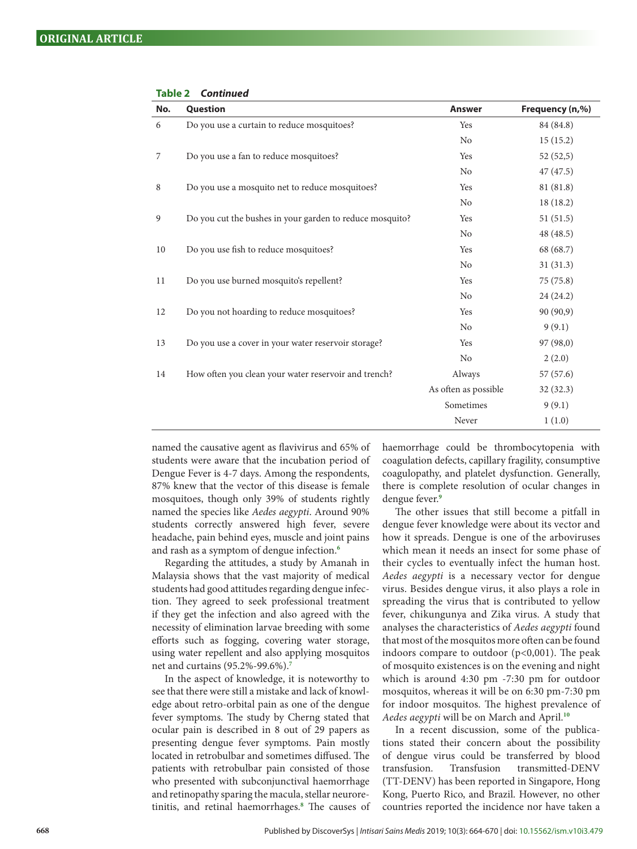| No. | Question                                                 | <b>Answer</b>        | Frequency (n,%) |
|-----|----------------------------------------------------------|----------------------|-----------------|
| 6   | Do you use a curtain to reduce mosquitoes?               | Yes                  | 84 (84.8)       |
|     |                                                          | No                   | 15(15.2)        |
| 7   | Do you use a fan to reduce mosquitoes?                   | Yes                  | 52(52,5)        |
|     |                                                          | N <sub>o</sub>       | 47(47.5)        |
| 8   | Do you use a mosquito net to reduce mosquitoes?          | Yes                  | 81 (81.8)       |
|     |                                                          | N <sub>o</sub>       | 18(18.2)        |
| 9   | Do you cut the bushes in your garden to reduce mosquito? | Yes                  | 51(51.5)        |
|     |                                                          | N <sub>o</sub>       | 48(48.5)        |
| 10  | Do you use fish to reduce mosquitoes?                    | Yes                  | 68 (68.7)       |
|     |                                                          | N <sub>o</sub>       | 31(31.3)        |
| 11  | Do you use burned mosquito's repellent?                  | Yes                  | 75(75.8)        |
|     |                                                          | No                   | 24(24.2)        |
| 12  | Do you not hoarding to reduce mosquitoes?                | Yes                  | 90 (90,9)       |
|     |                                                          | N <sub>o</sub>       | 9(9.1)          |
| 13  | Do you use a cover in your water reservoir storage?      | Yes                  | 97 (98,0)       |
|     |                                                          | N <sub>o</sub>       | 2(2.0)          |
| 14  | How often you clean your water reservoir and trench?     | Always               | 57(57.6)        |
|     |                                                          | As often as possible | 32(32.3)        |
|     |                                                          | Sometimes            | 9(9.1)          |
|     |                                                          | Never                | 1(1.0)          |

**Table 2** *Continued*

named the causative agent as flavivirus and 65% of students were aware that the incubation period of Dengue Fever is 4-7 days. Among the respondents, 87% knew that the vector of this disease is female mosquitoes, though only 39% of students rightly named the species like *Aedes aegypti*. Around 90% students correctly answered high fever, severe headache, pain behind eyes, muscle and joint pains and rash as a symptom of dengue infection.**[6](#page-6-0)**

Regarding the attitudes, a study by Amanah in Malaysia shows that the vast majority of medical students had good attitudes regarding dengue infection. They agreed to seek professional treatment if they get the infection and also agreed with the necessity of elimination larvae breeding with some efforts such as fogging, covering water storage, using water repellent and also applying mosquitos net and curtains (95.2%-99.6%).**[7](#page-6-0)**

In the aspect of knowledge, it is noteworthy to see that there were still a mistake and lack of knowledge about retro-orbital pain as one of the dengue fever symptoms. The study by Cherng stated that ocular pain is described in 8 out of 29 papers as presenting dengue fever symptoms. Pain mostly located in retrobulbar and sometimes diffused. The patients with retrobulbar pain consisted of those who presented with subconjunctival haemorrhage and retinopathy sparing the macula, stellar neuroretinitis, and retinal haemorrhages.**[8](#page-6-0)** The causes of haemorrhage could be thrombocytopenia with coagulation defects, capillary fragility, consumptive coagulopathy, and platelet dysfunction. Generally, there is complete resolution of ocular changes in dengue fever.**[9](#page-6-0)**

The other issues that still become a pitfall in dengue fever knowledge were about its vector and how it spreads. Dengue is one of the arboviruses which mean it needs an insect for some phase of their cycles to eventually infect the human host. *Aedes aegypti* is a necessary vector for dengue virus. Besides dengue virus, it also plays a role in spreading the virus that is contributed to yellow fever, chikungunya and Zika virus. A study that analyses the characteristics of *Aedes aegypti* found that most of the mosquitos more often can be found indoors compare to outdoor  $(p<0,001)$ . The peak of mosquito existences is on the evening and night which is around 4:30 pm -7:30 pm for outdoor mosquitos, whereas it will be on 6:30 pm-7:30 pm for indoor mosquitos. The highest prevalence of *Aedes aegypti* will be on March and April.**[10](#page-6-0)**

In a recent discussion, some of the publications stated their concern about the possibility of dengue virus could be transferred by blood transfusion. Transfusion transmitted-DENV (TT-DENV) has been reported in Singapore, Hong Kong, Puerto Rico, and Brazil. However, no other countries reported the incidence nor have taken a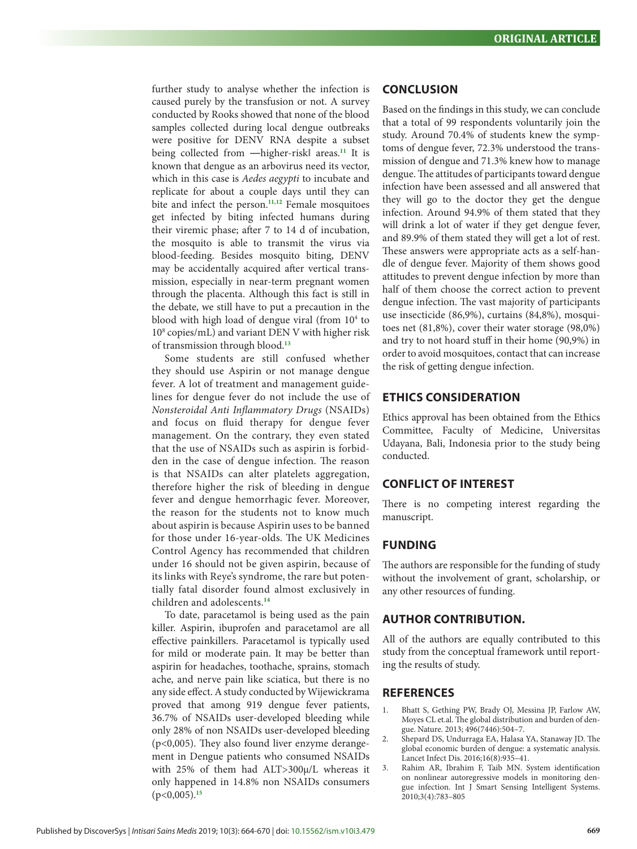<span id="page-5-0"></span>further study to analyse whether the infection is caused purely by the transfusion or not. A survey conducted by Rooks showed that none of the blood samples collected during local dengue outbreaks were positive for DENV RNA despite a subset being collected from ―higher-risk‖ areas.**[11](#page-6-0)** It is known that dengue as an arbovirus need its vector, which in this case is *Aedes aegypti* to incubate and replicate for about a couple days until they can bite and infect the person.**[11,12](#page-6-0)** Female mosquitoes get infected by biting infected humans during their viremic phase; after 7 to 14 d of incubation, the mosquito is able to transmit the virus via blood-feeding. Besides mosquito biting, DENV may be accidentally acquired after vertical transmission, especially in near-term pregnant women through the placenta. Although this fact is still in the debate, we still have to put a precaution in the blood with high load of dengue viral (from 10<sup>4</sup> to 108 copies/mL) and variant DEN V with higher risk of transmission through blood.**[13](#page-6-0)**

Some students are still confused whether they should use Aspirin or not manage dengue fever. A lot of treatment and management guidelines for dengue fever do not include the use of *Nonsteroidal Anti Inflammatory Drugs* (NSAIDs) and focus on fluid therapy for dengue fever management. On the contrary, they even stated that the use of NSAIDs such as aspirin is forbidden in the case of dengue infection. The reason is that NSAIDs can alter platelets aggregation, therefore higher the risk of bleeding in dengue fever and dengue hemorrhagic fever. Moreover, the reason for the students not to know much about aspirin is because Aspirin uses to be banned for those under 16-year-olds. The UK Medicines Control Agency has recommended that children under 16 should not be given aspirin, because of its links with Reye's syndrome, the rare but potentially fatal disorder found almost exclusively in children and adolescents.**[14](#page-6-0)**

To date, paracetamol is being used as the pain killer. Aspirin, ibuprofen and paracetamol are all effective painkillers. Paracetamol is typically used for mild or moderate pain. It may be better than aspirin for headaches, toothache, sprains, stomach ache, and nerve pain like sciatica, but there is no any side effect. A study conducted by Wijewickrama proved that among 919 dengue fever patients, 36.7% of NSAIDs user-developed bleeding while only 28% of non NSAIDs user-developed bleeding (p<0,005). They also found liver enzyme derangement in Dengue patients who consumed NSAIDs with 25% of them had ALT>300µ/L whereas it only happened in 14.8% non NSAIDs consumers (p<0,005).**[15](#page-6-0)**

# **CONCLUSION**

Based on the findings in this study, we can conclude that a total of 99 respondents voluntarily join the study. Around 70.4% of students knew the symptoms of dengue fever, 72.3% understood the transmission of dengue and 71.3% knew how to manage dengue. The attitudes of participants toward dengue infection have been assessed and all answered that they will go to the doctor they get the dengue infection. Around 94.9% of them stated that they will drink a lot of water if they get dengue fever, and 89.9% of them stated they will get a lot of rest. These answers were appropriate acts as a self-handle of dengue fever. Majority of them shows good attitudes to prevent dengue infection by more than half of them choose the correct action to prevent dengue infection. The vast majority of participants use insecticide (86,9%), curtains (84,8%), mosquitoes net (81,8%), cover their water storage (98,0%) and try to not hoard stuff in their home (90,9%) in order to avoid mosquitoes, contact that can increase the risk of getting dengue infection.

# **ETHICS CONSIDERATION**

Ethics approval has been obtained from the Ethics Committee, Faculty of Medicine, Universitas Udayana, Bali, Indonesia prior to the study being conducted.

## **CONFLICT OF INTEREST**

There is no competing interest regarding the manuscript.

## **FUNDING**

The authors are responsible for the funding of study without the involvement of grant, scholarship, or any other resources of funding.

## **AUTHOR CONTRIBUTION.**

All of the authors are equally contributed to this study from the conceptual framework until reporting the results of study.

#### **REFERENCES**

- 1. Bhatt S, Gething PW, Brady OJ, Messina JP, Farlow AW, Moyes CL et.al. The global distribution and burden of dengue. Nature. 2013; 496(7446):504–7.
- 2. Shepard DS, Undurraga EA, Halasa YA, Stanaway JD. The global economic burden of dengue: a systematic analysis. Lancet Infect Dis. 2016;16(8):935–41.
- 3. Rahim AR, Ibrahim F, Taib MN. System identification on nonlinear autoregressive models in monitoring dengue infection. Int J Smart Sensing Intelligent Systems. 2010;3(4):783–805